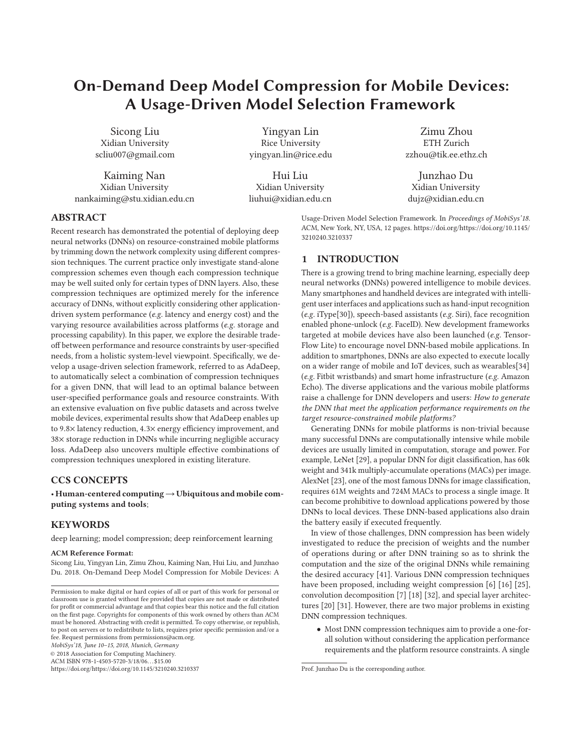# **On-Demand Deep Model Compression for Mobile Devices: A Usage-Driven Model Selection Framework**

Sicong Liu Xidian University scliu007@gmail.com

Kaiming Nan Xidian University nankaiming@stu.xidian.edu.cn

Yingyan Lin Rice University yingyan.lin@rice.edu

Hui Liu Xidian University liuhui@xidian.edu.cn

Zimu Zhou ETH Zurich zzhou@tik.ee.ethz.ch

Junzhao Du Xidian University dujz@xidian.edu.cn

**ABSTRACT**

Recent research has demonstrated the potential of deploying deep neural networks (DNNs) on resource-constrained mobile platforms by trimming down the network complexity using different compression techniques. The current practice only investigate stand-alone compression schemes even though each compression technique may be well suited only for certain types of DNN layers. Also, these compression techniques are optimized merely for the inference accuracy of DNNs, without explicitly considering other applicationdriven system performance (e.g. latency and energy cost) and the varying resource availabilities across platforms (e.g. storage and processing capability). In this paper, we explore the desirable tradeoff between performance and resource constraints by user-specified needs, from a holistic system-level viewpoint. Specifically, we develop a usage-driven selection framework, referred to as AdaDeep, to automatically select a combination of compression techniques for a given DNN, that will lead to an optimal balance between user-specified performance goals and resource constraints. With an extensive evaluation on five public datasets and across twelve mobile devices, experimental results show that AdaDeep enables up to 9.8× latency reduction, 4.3× energy efficiency improvement, and 38× storage reduction in DNNs while incurring negligible accuracy loss. AdaDeep also uncovers multiple effective combinations of compression techniques unexplored in existing literature.

# **CCS CONCEPTS**

• **Human-centered computing**→**Ubiquitous and mobile computing systems and tools**;

## **KEYWORDS**

deep learning; model compression; deep reinforcement learning

#### **ACM Reference Format:**

Sicong Liu, Yingyan Lin, Zimu Zhou, Kaiming Nan, Hui Liu, and Junzhao Du. 2018. On-Demand Deep Model Compression for Mobile Devices: A

MobiSys'18, June 10–15, 2018, Munich, Germany

© 2018 Association for Computing Machinery.

ACM ISBN 978-1-4503-5720-3/18/06. . . \$15.00

https://doi.org/https://doi.org/10.1145/3210240.3210337

Usage-Driven Model Selection Framework. In Proceedings of MobiSys'18. ACM, New York, NY, USA, 12 pages. https://doi.org/https://doi.org/10.1145/ 3210240.3210337

# **1 INTRODUCTION**

There is a growing trend to bring machine learning, especially deep neural networks (DNNs) powered intelligence to mobile devices. Many smartphones and handheld devices are integrated with intelligent user interfaces and applications such as hand-input recognition (e.g. iType[30]), speech-based assistants (e.g. Siri), face recognition enabled phone-unlock (e.g. FaceID). New development frameworks targeted at mobile devices have also been launched (e.g. Tensor-Flow Lite) to encourage novel DNN-based mobile applications. In addition to smartphones, DNNs are also expected to execute locally on a wider range of mobile and IoT devices, such as wearables[34] (e.g. Fitbit wristbands) and smart home infrastructure (e.g. Amazon Echo). The diverse applications and the various mobile platforms raise a challenge for DNN developers and users: How to generate the DNN that meet the application performance requirements on the target resource-constrained mobile platforms?

Generating DNNs for mobile platforms is non-trivial because many successful DNNs are computationally intensive while mobile devices are usually limited in computation, storage and power. For example, LeNet [29], a popular DNN for digit classification, has 60k weight and 341k multiply-accumulate operations (MACs) per image. AlexNet [23], one of the most famous DNNs for image classification, requires 61M weights and 724M MACs to process a single image. It can become prohibitive to download applications powered by those DNNs to local devices. These DNN-based applications also drain the battery easily if executed frequently.

In view of those challenges, DNN compression has been widely investigated to reduce the precision of weights and the number of operations during or after DNN training so as to shrink the computation and the size of the original DNNs while remaining the desired accuracy [41]. Various DNN compression techniques have been proposed, including weight compression [6] [16] [25], convolution decomposition [7] [18] [32], and special layer architectures [20] [31]. However, there are two major problems in existing DNN compression techniques.

• Most DNN compression techniques aim to provide a one-forall solution without considering the application performance requirements and the platform resource constraints. A single

Permission to make digital or hard copies of all or part of this work for personal or classroom use is granted without fee provided that copies are not made or distributed for profit or commercial advantage and that copies bear this notice and the full citation on the first page. Copyrights for components of this work owned by others than ACM must be honored. Abstracting with credit is permitted. To copy otherwise, or republish, to post on servers or to redistribute to lists, requires prior specific permission and/or a fee. Request permissions from permissions@acm.org.

Prof. Junzhao Du is the corresponding author.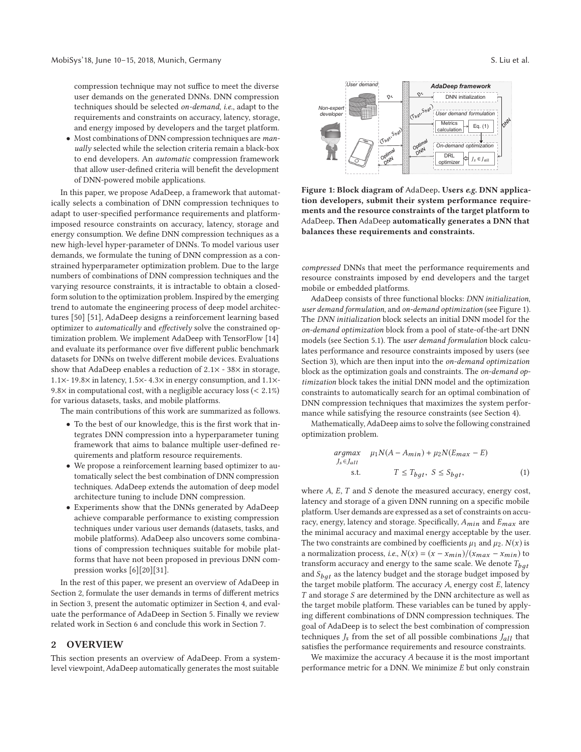compression technique may not suffice to meet the diverse user demands on the generated DNNs. DNN compression techniques should be selected on-demand, i.e., adapt to the requirements and constraints on accuracy, latency, storage, and energy imposed by developers and the target platform.

• Most combinations of DNN compression techniques are manually selected while the selection criteria remain a black-box to end developers. An automatic compression framework that allow user-defined criteria will benefit the development of DNN-powered mobile applications.

In this paper, we propose AdaDeep, a framework that automatically selects a combination of DNN compression techniques to adapt to user-specified performance requirements and platformimposed resource constraints on accuracy, latency, storage and energy consumption. We define DNN compression techniques as a new high-level hyper-parameter of DNNs. To model various user demands, we formulate the tuning of DNN compression as a constrained hyperparameter optimization problem. Due to the large numbers of combinations of DNN compression techniques and the varying resource constraints, it is intractable to obtain a closedform solution to the optimization problem. Inspired by the emerging trend to automate the engineering process of deep model architectures [50] [51], AdaDeep designs a reinforcement learning based optimizer to automatically and effectively solve the constrained optimization problem. We implement AdaDeep with TensorFlow [14] and evaluate its performance over five different public benchmark datasets for DNNs on twelve different mobile devices. Evaluations show that AdaDeep enables a reduction of 2.1<sup>×</sup> - 38<sup>×</sup> in storage, 1.1×- 19.8× in latency, 1.5×- 4.3× in energy consumption, and 1.1×- 9.8 $\times$  in computational cost, with a negligible accuracy loss (< 2.1%) for various datasets, tasks, and mobile platforms.

The main contributions of this work are summarized as follows.

- To the best of our knowledge, this is the first work that integrates DNN compression into a hyperparameter tuning framework that aims to balance multiple user-defined requirements and platform resource requirements.
- We propose a reinforcement learning based optimizer to automatically select the best combination of DNN compression techniques. AdaDeep extends the automation of deep model architecture tuning to include DNN compression.
- Experiments show that the DNNs generated by AdaDeep achieve comparable performance to existing compression techniques under various user demands (datasets, tasks, and mobile platforms). AdaDeep also uncovers some combinations of compression techniques suitable for mobile platforms that have not been proposed in previous DNN compression works [6][20][31].

In the rest of this paper, we present an overview of AdaDeep in Section 2, formulate the user demands in terms of different metrics in Section 3, present the automatic optimizer in Section 4, and evaluate the performance of AdaDeep in Section 5. Finally we review related work in Section 6 and conclude this work in Section 7.

### **2 OVERVIEW**

This section presents an overview of AdaDeep. From a systemlevel viewpoint, AdaDeep automatically generates the most suitable



optimizer

**Figure 1: Block diagram of** AdaDeep**. Users** *e.g.* **DNN application developers, submit their system performance requirements and the resource constraints of the target platform to** AdaDeep**. Then** AdaDeep **automatically generates a DNN that balances these requirements and constraints.**

compressed DNNs that meet the performance requirements and resource constraints imposed by end developers and the target mobile or embedded platforms.

AdaDeep consists of three functional blocks: DNN initialization, user demand formulation, and on-demand optimization (see Figure 1). The DNN initialization block selects an initial DNN model for the on-demand optimization block from a pool of state-of-the-art DNN models (see Section 5.1). The user demand formulation block calculates performance and resource constraints imposed by users (see Section 3), which are then input into the on-demand optimization block as the optimization goals and constraints. The on-demand optimization block takes the initial DNN model and the optimization constraints to automatically search for an optimal combination of DNN compression techniques that maximizes the system performance while satisfying the resource constraints (see Section 4).

Mathematically, AdaDeep aims to solve the following constrained optimization problem.

$$
\underset{J_s \in J_{all}}{\operatorname{argmax}} \quad \mu_1 N(A - A_{min}) + \mu_2 N(E_{max} - E)
$$
\n
$$
\text{s.t.} \quad T \le T_{bgt}, \ S \le S_{bgt}, \tag{1}
$$

where  $A$ ,  $E$ ,  $T$  and  $S$  denote the measured accuracy, energy cost, latency and storage of a given DNN running on a specific mobile platform. User demands are expressed as a set of constraints on accuracy, energy, latency and storage. Specifically,  $A_{min}$  and  $E_{max}$  are the minimal accuracy and maximal energy acceptable by the user. The two constraints are combined by coefficients  $\mu_1$  and  $\mu_2$ .  $N(x)$  is a normalization process, i.e.,  $N(x) = (x - x_{min})/(x_{max} - x_{min})$  to transform accuracy and energy to the same scale. We denote  $T_{bat}$ and  $S_{bqt}$  as the latency budget and the storage budget imposed by the target mobile platform. The accuracy  $A$ , energy cost  $E$ , latency  $T$  and storage  $S$  are determined by the DNN architecture as well as the target mobile platform. These variables can be tuned by applying different combinations of DNN compression techniques. The goal of AdaDeep is to select the best combination of compression techniques  $J_s$  from the set of all possible combinations  $J_{all}$  that satisfies the performance requirements and resource constraints.

We maximize the accuracy A because it is the most important performance metric for a DNN. We minimize E but only constrain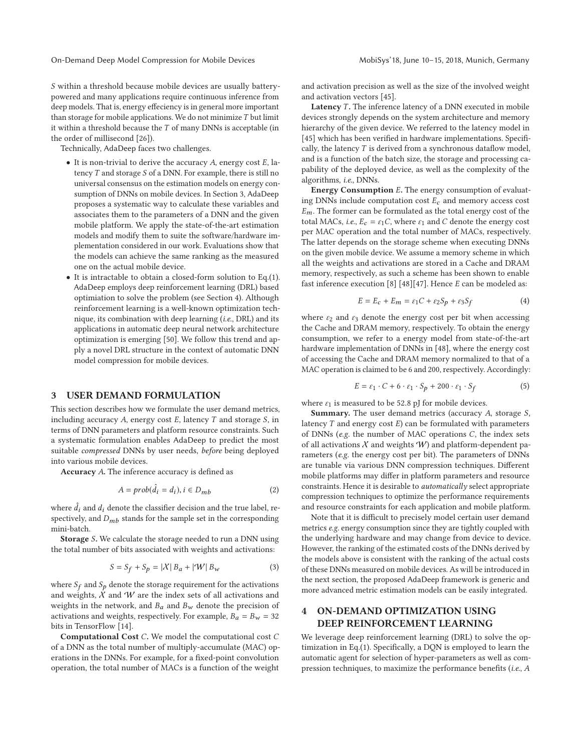On-Demand Deep Model Compression for Mobile Devices Mobistys' 18, June 10–15, 2018, Munich, Germany

S within a threshold because mobile devices are usually batterypowered and many applications require continuous inference from deep models. That is, energy effeciency is in general more important than storage for mobile applications. We do not minimize  $T$  but limit it within a threshold because the  $T$  of many DNNs is acceptable (in the order of millisecond [26]).

Technically, AdaDeep faces two challenges.

- $\bullet$  It is non-trivial to derive the accuracy A, energy cost E, latency  $T$  and storage  $S$  of a DNN. For example, there is still no universal consensus on the estimation models on energy consumption of DNNs on mobile devices. In Section 3, AdaDeep proposes a systematic way to calculate these variables and associates them to the parameters of a DNN and the given mobile platform. We apply the state-of-the-art estimation models and modify them to suite the software/hardware implementation considered in our work. Evaluations show that the models can achieve the same ranking as the measured one on the actual mobile device.
- It is intractable to obtain a closed-form solution to Eq.(1). AdaDeep employs deep reinforcement learning (DRL) based optimiation to solve the problem (see Section 4). Although reinforcement learning is a well-known optimization technique, its combination with deep learning (i.e., DRL) and its applications in automatic deep neural network architecture optimization is emerging [50]. We follow this trend and apply a novel DRL structure in the context of automatic DNN model compression for mobile devices.

#### **3 USER DEMAND FORMULATION**

This section describes how we formulate the user demand metrics, including accuracy  $A$ , energy cost  $E$ , latency  $T$  and storage  $S$ , in terms of DNN parameters and platform resource constraints. Such a systematic formulation enables AdaDeep to predict the most suitable compressed DNNs by user needs, before being deployed into various mobile devices.

**Accuracy** A**.** The inference accuracy is defined as

$$
A = prob(\hat{d}_i = d_i), i \in D_{mb} \tag{2}
$$

where  $\hat{d}_i$  and  $d_i$  denote the classifier decision and the true label, respectively, and  $D_{mb}$  stands for the sample set in the corresponding mini-batch.

**Storage** S**.** We calculate the storage needed to run a DNN using the total number of bits associated with weights and activations:

$$
S = S_f + S_p = |\mathcal{X}| B_a + |\mathcal{W}| B_w \tag{3}
$$

where  $S_f$  and  $S_p$  denote the storage requirement for the activations and weights,  $X$  and  $W$  are the index sets of all activations and weights in the network, and  $B_a$  and  $B_w$  denote the precision of activations and weights, respectively. For example,  $B_a = B_w = 32$ bits in TensorFlow [14].

**Computational Cost** C**.** We model the computational cost C of a DNN as the total number of multiply-accumulate (MAC) operations in the DNNs. For example, for a fixed-point convolution operation, the total number of MACs is a function of the weight and activation precision as well as the size of the involved weight and activation vectors [45].

**Latency** T. The inference latency of a DNN executed in mobile devices strongly depends on the system architecture and memory hierarchy of the given device. We referred to the latency model in [45] which has been verified in hardware implementations. Specifically, the latency  $T$  is derived from a synchronous dataflow model, and is a function of the batch size, the storage and processing capability of the deployed device, as well as the complexity of the algorithms, i.e., DNNs.

**Energy Consumption** E**.** The energy consumption of evaluating DNNs include computation cost  $E_c$  and memory access cost  $E_m$ . The former can be formulated as the total energy cost of the total MACs, i.e.,  $E_c = \varepsilon_1 C$ , where  $\varepsilon_1$  and C denote the energy cost per MAC operation and the total number of MACs, respectively. The latter depends on the storage scheme when executing DNNs on the given mobile device. We assume a memory scheme in which all the weights and activations are stored in a Cache and DRAM memory, respectively, as such a scheme has been shown to enable fast inference execution [8] [48][47]. Hence  $E$  can be modeled as:

$$
E = E_c + E_m = \varepsilon_1 C + \varepsilon_2 S_p + \varepsilon_3 S_f \tag{4}
$$

where  $\varepsilon_2$  and  $\varepsilon_3$  denote the energy cost per bit when accessing the Cache and DRAM memory, respectively. To obtain the energy consumption, we refer to a energy model from state-of-the-art hardware implementation of DNNs in [48], where the energy cost of accessing the Cache and DRAM memory normalized to that of a MAC operation is claimed to be 6 and 200, respectively. Accordingly:

$$
E = \varepsilon_1 \cdot C + 6 \cdot \varepsilon_1 \cdot S_p + 200 \cdot \varepsilon_1 \cdot S_f \tag{5}
$$

where  $\varepsilon_1$  is measured to be 52.8 pJ for mobile devices.

**Summary.** The user demand metrics (accuracy A, storage S, latency  $T$  and energy cost  $E$ ) can be formulated with parameters of DNNs (e.g. the number of MAC operations C, the index sets of all activations  $X$  and weights  $W$ ) and platform-dependent parameters (e.g. the energy cost per bit). The parameters of DNNs are tunable via various DNN compression techniques. Different mobile platforms may differ in platform parameters and resource constraints. Hence it is desirable to automatically select appropriate compression techniques to optimize the performance requirements and resource constraints for each application and mobile platform.

Note that it is difficult to precisely model certain user demand metrics e.g. energy consumption since they are tightly coupled with the underlying hardware and may change from device to device. However, the ranking of the estimated costs of the DNNs derived by the models above is consistent with the ranking of the actual costs of these DNNs measured on mobile devices. As will be introduced in the next section, the proposed AdaDeep framework is generic and more advanced metric estimation models can be easily integrated.

# **4 ON-DEMAND OPTIMIZATION USING DEEP REINFORCEMENT LEARNING**

We leverage deep reinforcement learning (DRL) to solve the optimization in Eq.(1). Specifically, a DQN is employed to learn the automatic agent for selection of hyper-parameters as well as compression techniques, to maximize the performance benefits (i.e., A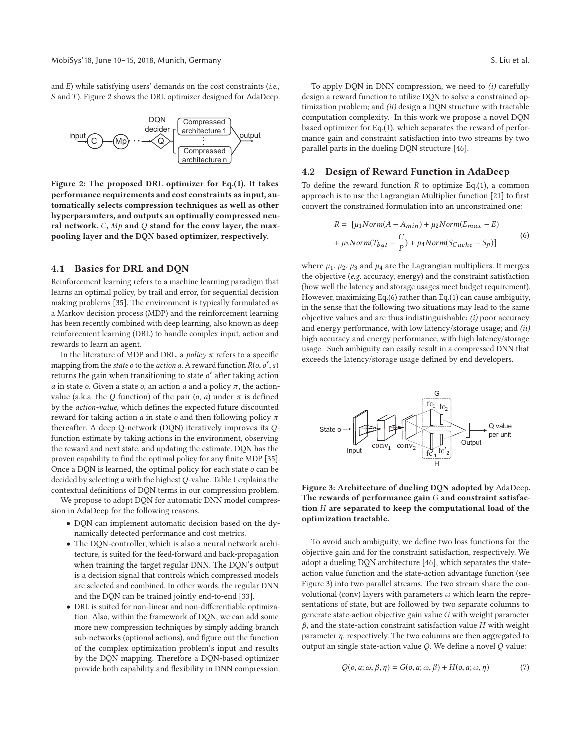and  $E$ ) while satisfying users' demands on the cost constraints (*i.e.*, S and T). Figure 2 shows the DRL optimizer designed for AdaDeep.



**Figure 2: The proposed DRL optimizer for Eq.(1). It takes performance requirements and cost constraints as input, automatically selects compression techniques as well as other hyperparamters, and outputs an optimally compressed neural network.** C**,** Mp **and** Q **stand for the conv layer, the maxpooling layer and the DQN based optimizer, respectively.**

## **4.1 Basics for DRL and DQN**

Reinforcement learning refers to a machine learning paradigm that learns an optimal policy, by trail and error, for sequential decision making problems [35]. The environment is typically formulated as a Markov decision process (MDP) and the reinforcement learning has been recently combined with deep learning, also known as deep reinforcement learning (DRL) to handle complex input, action and rewards to learn an agent.

In the literature of MDP and DRL, a policy  $\pi$  refers to a specific mapping from the *state o* to the *action a*. A reward function  $R(o, o', s)$ returns the gain when transitioning to state  $o'$  after taking action a in state o. Given a state o, an action a and a policy  $\pi$ , the actionvalue (a.k.a. the Q function) of the pair (o, a) under  $\pi$  is defined by the action-value, which defines the expected future discounted reward for taking action  $a$  in state  $o$  and then following policy  $\pi$ thereafter. A deep Q-network (DQN) iteratively improves its Qfunction estimate by taking actions in the environment, observing the reward and next state, and updating the estimate. DQN has the proven capability to find the optimal policy for any finite MDP [35]. Once a DQN is learned, the optimal policy for each state o can be decided by selecting  $a$  with the highest  $Q$ -value. Table 1 explains the contextual definitions of DQN terms in our compression problem.

We propose to adopt DQN for automatic DNN model compression in AdaDeep for the following reasons.

- DQN can implement automatic decision based on the dynamically detected performance and cost metrics.
- The DQN-controller, which is also a neural network architecture, is suited for the feed-forward and back-propagation when training the target regular DNN. The DQN's output is a decision signal that controls which compressed models are selected and combined. In other words, the regular DNN and the DQN can be trained jointly end-to-end [33].
- DRL is suited for non-linear and non-differentiable optimization. Also, within the framework of DQN, we can add some more new compression techniques by simply adding branch sub-networks (optional actions), and figure out the function of the complex optimization problem's input and results by the DQN mapping. Therefore a DQN-based optimizer provide both capability and flexibility in DNN compression.

To apply DQN in DNN compression, we need to (i) carefully design a reward function to utilize DQN to solve a constrained optimization problem; and (ii) design a DQN structure with tractable computation complexity. In this work we propose a novel DQN based optimizer for Eq.(1), which separates the reward of performance gain and constraint satisfaction into two streams by two parallel parts in the dueling DQN structure [46].

## **4.2 Design of Reward Function in AdaDeep**

To define the reward function  $R$  to optimize Eq.(1), a common approach is to use the Lagrangian Multiplier function [21] to first convert the constrained formulation into an unconstrained one:

$$
R = \left[\mu_1 Norm(A - A_{min}) + \mu_2 Norm(E_{max} - E) + \mu_3 Norm(T_{bgt} - \frac{C}{P}) + \mu_4 Norm(S_{Cache} - S_P)\right]
$$
\n(6)

where  $\mu_1$ ,  $\mu_2$ ,  $\mu_3$  and  $\mu_4$  are the Lagrangian multipliers. It merges the objective (e.g. accuracy, energy) and the constraint satisfaction (how well the latency and storage usages meet budget requirement). However, maximizing Eq.(6) rather than Eq.(1) can cause ambiguity, in the sense that the following two situations may lead to the same objective values and are thus indistinguishable: (i) poor accuracy and energy performance, with low latency/storage usage; and (ii) high accuracy and energy performance, with high latency/storage usage. Such ambiguity can easily result in a compressed DNN that exceeds the latency/storage usage defined by end developers.



**Figure 3: Architecture of dueling DQN adopted by** AdaDeep**. The rewards of performance gain** G **and constraint satisfaction** H **are separated to keep the computational load of the optimization tractable.**

To avoid such ambiguity, we define two loss functions for the objective gain and for the constraint satisfaction, respectively. We adopt a dueling DQN architecture [46], which separates the stateaction value function and the state-action advantage function (see Figure 3) into two parallel streams. The two stream share the convolutional (conv) layers with parameters  $\omega$  which learn the representations of state, but are followed by two separate columns to generate state-action objective gain value G with weight parameter  $\beta$ , and the state-action constraint satisfaction value H with weight parameter  $\eta$ , respectively. The two columns are then aggregated to output an single state-action value Q. We define a novel Q value:

$$
Q(o, a; \omega, \beta, \eta) = G(o, a; \omega, \beta) + H(o, a; \omega, \eta)
$$
\n(7)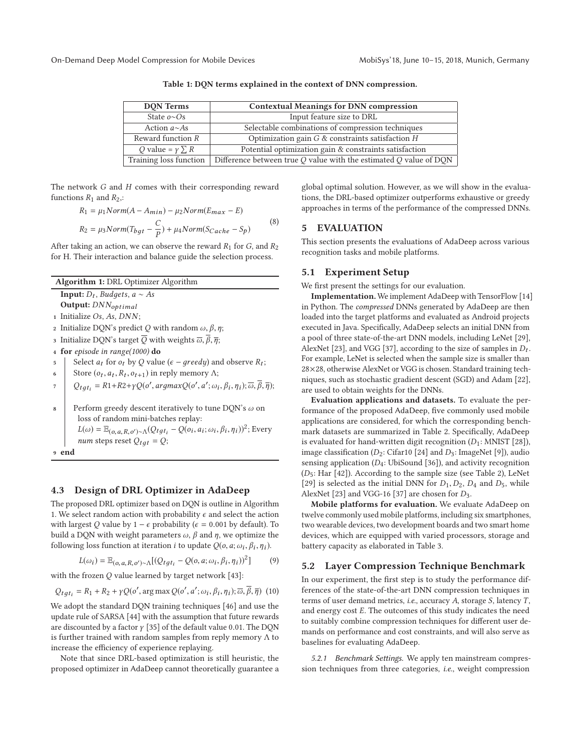**Table 1: DQN terms explained in the context of DNN compression.**

| <b>DON</b> Terms                 | <b>Contextual Meanings for DNN compression</b>                        |
|----------------------------------|-----------------------------------------------------------------------|
| State $o \sim Os$                | Input feature size to DRL                                             |
| Action $a \sim As$               | Selectable combinations of compression techniques                     |
| Reward function R                | Optimization gain $G$ & constraints satisfaction $H$                  |
| <i>Q</i> value = $\gamma \sum R$ | Potential optimization gain & constraints satisfaction                |
| Training loss function           | Difference between true $Q$ value with the estimated $Q$ value of DQN |

The network G and H comes with their corresponding reward functions  $R_1$  and  $R_2$ ,:

$$
R_1 = \mu_1 Norm(A - A_{min}) - \mu_2 Norm(E_{max} - E)
$$
  
\n
$$
R_2 = \mu_3 Norm(T_{bgt} - \frac{C}{P}) + \mu_4 Norm(S_{Cache} - S_p)
$$
\n(8)

After taking an action, we can observe the reward  $R_1$  for  $G$ , and  $R_2$ for H. Their interaction and balance guide the selection process.

| Algorithm 1: DRL Optimizer Algorithm                                                                                                        |
|---------------------------------------------------------------------------------------------------------------------------------------------|
| <b>Input:</b> $D_t$ , <i>Budgets</i> , $a \sim As$                                                                                          |
| Output: DNN <sub>optimal</sub>                                                                                                              |
| 1 Initialize $Os, As, DNN;$                                                                                                                 |
| Initialize DQN's predict Q with random $\omega$ , $\beta$ , $\eta$ ;<br>$\overline{2}$                                                      |
| Initialize DQN's target $\overline{Q}$ with weights $\overline{\omega}, \overline{\beta}, \overline{\eta}$ ;<br>3                           |
| for episode in range $(1000)$ do<br>$\overline{4}$                                                                                          |
| Select $a_t$ for $o_t$ by Q value ( $\epsilon$ – greedy) and observe $R_t$ ;<br>5                                                           |
| Store $(o_t, a_t, R_t, o_{t+1})$ in reply memory $\Lambda$ ;<br>6                                                                           |
| $Q_{tgt_i} = R1 + R2 + \gamma Q(o', argmaxQ(o', a'; \omega_i, \beta_i, \eta_i); \overline{\omega}, \overline{\beta}, \overline{\eta})$<br>7 |
| Perform greedy descent iteratively to tune DON's $\omega$ on<br>8                                                                           |
| loss of random mini-batches replay:                                                                                                         |
| $L(\omega) = \mathbb{E}_{(o, a, R, o') \sim \Lambda}(Q_{tgt_i} - Q(o_i, a_i; \omega_i, \beta_i, \eta_i))^2$ ; Every                         |
| <i>num</i> steps reset $Q_{tqt} = Q$ ;                                                                                                      |
| end<br>9                                                                                                                                    |

# **4.3 Design of DRL Optimizer in AdaDeep**

The proposed DRL optimizer based on DQN is outline in Algorithm 1. We select random action with probability  $\epsilon$  and select the action with largest Q value by  $1 - \epsilon$  probability ( $\epsilon = 0.001$  by default). To build a DQN with weight parameters  $\omega$ ,  $\beta$  and  $\eta$ , we optimize the following loss function at iteration *i* to update  $Q$ ( $o$ ,  $a$ ;  $\omega$ <sub>i</sub>,  $\beta$ <sub>i</sub>,  $\eta$ <sub>i</sub>).

$$
L(\omega_i) = \mathbb{E}_{(o,a,R,o') \sim \Lambda}[(Q_{tgt_i} - Q(o,a;\omega_i,\beta_i,\eta_i))^2]
$$
(9)

with the frozen  $Q$  value learned by target network [43]:

$$
Q_{tgt_i} = R_1 + R_2 + \gamma Q(o', \arg \max Q(o', a'; \omega_i, \beta_i, \eta_i); \overline{\omega}, \overline{\beta}, \overline{\eta})
$$
 (10)

We adopt the standard DQN training techniques [46] and use the update rule of SARSA [44] with the assumption that future rewards are discounted by a factor  $\gamma$  [35] of the default value 0.01. The DQN is further trained with random samples from reply memory  $\Lambda$  to increase the efficiency of experience replaying.

Note that since DRL-based optimization is still heuristic, the proposed optimizer in AdaDeep cannot theoretically guarantee a global optimal solution. However, as we will show in the evaluations, the DRL-based optimizer outperforms exhaustive or greedy approaches in terms of the performance of the compressed DNNs.

## **5 EVALUATION**

This section presents the evaluations of AdaDeep across various recognition tasks and mobile platforms.

#### **5.1 Experiment Setup**

We first present the settings for our evaluation.

**Implementation.** We implement AdaDeep with TensorFlow [14] in Python. The compressed DNNs generated by AdaDeep are then loaded into the target platforms and evaluated as Android projects executed in Java. Specifically, AdaDeep selects an initial DNN from a pool of three state-of-the-art DNN models, including LeNet [29], AlexNet [23], and VGG [37], according to the size of samples in  $D_t$ . For example, LeNet is selected when the sample size is smaller than 28×28, otherwise AlexNet or VGG is chosen. Standard training techniques, such as stochastic gradient descent (SGD) and Adam [22], are used to obtain weights for the DNNs.

**Evaluation applications and datasets.** To evaluate the performance of the proposed AdaDeep, five commonly used mobile applications are considered, for which the corresponding benchmark datasets are summarized in Table 2. Specifically, AdaDeep is evaluated for hand-written digit recognition  $(D_1: MNIST [28])$ , image classification ( $D_2$ : Cifar10 [24] and  $D_3$ : ImageNet [9]), audio sensing application  $(D_4:Ub)$ iSound [36]), and activity recognition  $(D_5: Har [42])$ . According to the sample size (see Table 2), LeNet [29] is selected as the initial DNN for  $D_1, D_2, D_4$  and  $D_5$ , while AlexNet [23] and VGG-16 [37] are chosen for  $D_3$ .

**Mobile platforms for evaluation.** We evaluate AdaDeep on twelve commonly used mobile platforms, including six smartphones, two wearable devices, two development boards and two smart home devices, which are equipped with varied processors, storage and battery capacity as elaborated in Table 3.

#### **5.2 Layer Compression Technique Benchmark**

In our experiment, the first step is to study the performance differences of the state-of-the-art DNN compression techniques in terms of user demand metrics, i.e., accuracy  $A$ , storage  $S$ , latency  $T$ , and energy cost E. The outcomes of this study indicates the need to suitably combine compression techniques for different user demands on performance and cost constraints, and will also serve as baselines for evaluating AdaDeep.

5.2.1 Benchmark Settings. We apply ten mainstream compression techniques from three categories, i.e., weight compression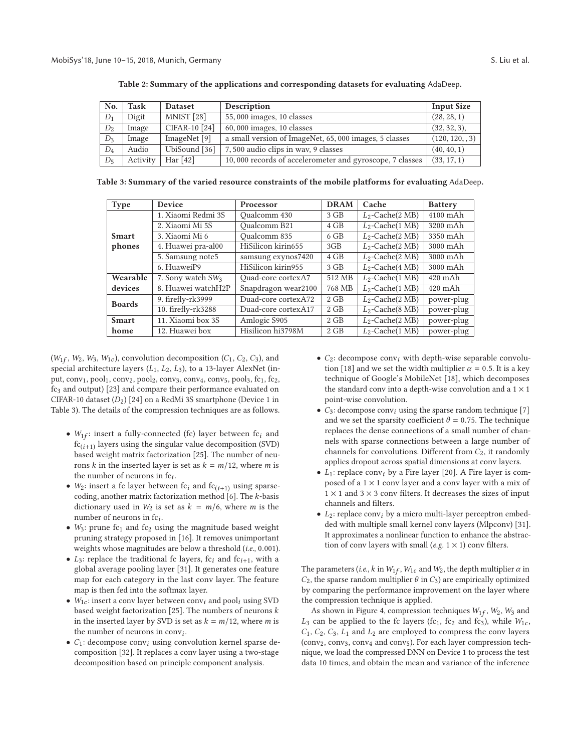| No.   | Task     | <b>Dataset</b> | Description                                              | <b>Input Size</b> |
|-------|----------|----------------|----------------------------------------------------------|-------------------|
| $D_1$ | Digit    | MNIST [28]     | 55,000 images, 10 classes                                | (28, 28, 1)       |
| $D_2$ | Image    | CIFAR-10 [24]  | $60,000$ images, 10 classes                              | (32, 32, 3),      |
| $D_3$ | Image    | ImageNet [9]   | a small version of ImageNet, 65,000 images, 5 classes    | (120, 120, 3)     |
| $D_4$ | Audio    | UbiSound [36]  | 7,500 audio clips in way, 9 classes                      | (40, 40, 1)       |
| $D_5$ | Activity | Har $[42]$     | 10,000 records of accelerometer and gyroscope, 7 classes | (33, 17, 1)       |

**Table 2: Summary of the applications and corresponding datasets for evaluating** AdaDeep**.**

**Table 3: Summary of the varied resource constraints of the mobile platforms for evaluating** AdaDeep**.**

| Type          | <b>Device</b>                 | <b>Processor</b>    | <b>DRAM</b> | Cache                         | <b>Battery</b> |  |
|---------------|-------------------------------|---------------------|-------------|-------------------------------|----------------|--|
|               | 1. Xiaomi Redmi 3S            | Oualcomm 430        | $3$ GB      | $L_2$ -Cache $(2 \text{ MB})$ | $4100$ mAh     |  |
|               | 2. Xiaomi Mi 5S               | Oualcomm B21        | 4 GB        | $L_2$ -Cache(1 MB)            | 3200 mAh       |  |
| <b>Smart</b>  | 3. Xiaomi Mi 6                | Oualcomm 835        | $6$ GB      | $L_2$ -Cache(2 MB)            | 3350 mAh       |  |
| phones        | 4. Huawei pra-al00            | HiSilicon kirin655  | 3GB         | $L_2$ -Cache $(2 \text{ MB})$ | 3000 mAh       |  |
|               | 5. Samsung note5              | samsung exynos7420  | $4$ GB      | $L_2$ -Cache $(2 \text{ MB})$ | 3000 mAh       |  |
|               | 6. HuaweiP9                   | HiSilicon kirin955  | $3$ GB      | $L_2$ -Cache $(4 \text{ MB})$ | 3000 mAh       |  |
| Wearable      | 7. Sony watch SW <sub>3</sub> | Ouad-core cortexA7  | 512 MB      | $L_2$ -Cache(1 MB)            | $420$ mAh      |  |
| devices       | 8. Huawei watchH2P            | Snapdragon wear2100 | 768 MB      | $L_2$ -Cache(1 MB)            | $420$ mAh      |  |
| <b>Boards</b> | 9. firefly-rk3999             | Duad-core cortexA72 | $2$ GB      | $L_2$ -Cache $(2 \text{ MB})$ | power-plug     |  |
|               | 10. firefly-rk3288            | Duad-core cortexA17 | $2$ GB      | $L_2$ -Cache(8 MB)            | power-plug     |  |
| <b>Smart</b>  | 11. Xiaomi box 3S             | Amlogic S905        | 2 GB        | $L_2$ -Cache(2 MB)            | power-plug     |  |
| home          | 12. Huawei box                | Hisilicon hi3798M   | $2$ GB      | $L_2$ -Cache(1 MB)            | power-plug     |  |

 $(W_{1f}, W_2, W_3, W_{1c})$ , convolution decomposition  $(C_1, C_2, C_3)$ , and special architecture layers  $(L_1, L_2, L_3)$ , to a 13-layer AlexNet (input, conv<sub>1</sub>, pool<sub>1</sub>, conv<sub>2</sub>, pool<sub>2</sub>, conv<sub>3</sub>, conv<sub>4</sub>, conv<sub>5</sub>, pool<sub>3</sub>, fc<sub>1</sub>, fc<sub>2</sub>, fc3 and output) [23] and compare their performance evaluated on CIFAR-10 dataset  $(D_2)$  [24] on a RedMi 3S smartphone (Device 1 in Table 3). The details of the compression techniques are as follows.

- $W_{1f}$ : insert a fully-connected (fc) layer between fc<sub>i</sub> and  $f_{\text{C}_{i+1}}$  layers using the singular value decomposition (SVD) based weight matrix factorization [25]. The number of neurons k in the inserted layer is set as  $k = m/12$ , where m is the number of neurons in  $fc_i$ .
- $W_2$ : insert a fc layer between fc<sub>i</sub> and fc<sub>(i+1)</sub> using sparsecoding, another matrix factorization method [6]. The k-basis dictionary used in  $W_2$  is set as  $k = m/6$ , where m is the number of neurons in  $fc_i$ .
- $W_3$ : prune fc<sub>1</sub> and fc<sub>2</sub> using the magnitude based weight pruning strategy proposed in [16]. It removes unimportant weights whose magnitudes are below a threshold (i.e., 0.001).
- $L_3$ : replace the traditional fc layers, fc<sub>i</sub> and fc<sub>i+1</sub>, with a global average pooling layer [31]. It generates one feature map for each category in the last conv layer. The feature map is then fed into the softmax layer.
- $W_{1c}$ : insert a conv layer between conv<sub>i</sub> and pool<sub>i</sub> using SVD based weight factorization [25]. The numbers of neurons  $k$ in the inserted layer by SVD is set as  $k = m/12$ , where m is the number of neurons in  $conv_i$ .
- $C_1$ : decompose conv<sub>i</sub> using convolution kernel sparse decomposition [32]. It replaces a conv layer using a two-stage decomposition based on principle component analysis.
- $C_2$ : decompose conv<sub>i</sub> with depth-wise separable convolution [18] and we set the width multiplier  $\alpha = 0.5$ . It is a key technique of Google's MobileNet [18], which decomposes the standard conv into a depth-wise convolution and a  $1 \times 1$ point-wise convolution.
- $C_3$ : decompose conv<sub>i</sub> using the sparse random technique [7] and we set the sparsity coefficient  $\theta = 0.75$ . The technique replaces the dense connections of a small number of channels with sparse connections between a large number of channels for convolutions. Different from  $C_2$ , it randomly applies dropout across spatial dimensions at conv layers.
- $L_1$ : replace conv<sub>i</sub> by a Fire layer [20]. A Fire layer is composed of a  $1 \times 1$  conv layer and a conv layer with a mix of  $1 \times 1$  and  $3 \times 3$  conv filters. It decreases the sizes of input channels and filters.
- $L_2$ : replace conv<sub>i</sub> by a micro multi-layer perceptron embedded with multiple small kernel conv layers (Mlpconv) [31]. It approximates a nonlinear function to enhance the abstraction of conv layers with small (e.g.  $1 \times 1$ ) conv filters.

The parameters (i.e., k in  $W_{1f}$ ,  $W_{1c}$  and  $W_2$ , the depth multiplier  $\alpha$  in  $C_2$ , the sparse random multiplier  $\theta$  in  $C_3$ ) are empirically optimized by comparing the performance improvement on the layer where the compression technique is applied.

As shown in Figure 4, compression techniques  $W_{1f}$ ,  $W_2$ ,  $W_3$  and  $L_3$  can be applied to the fc layers (fc<sub>1</sub>, fc<sub>2</sub> and fc<sub>3</sub>), while  $W_{1c}$ ,  $C_1$ ,  $C_2$ ,  $C_3$ ,  $L_1$  and  $L_2$  are employed to compress the conv layers (conv<sub>2</sub>, conv<sub>3</sub>, conv<sub>4</sub> and conv<sub>5</sub>). For each layer compression technique, we load the compressed DNN on Device 1 to process the test data 10 times, and obtain the mean and variance of the inference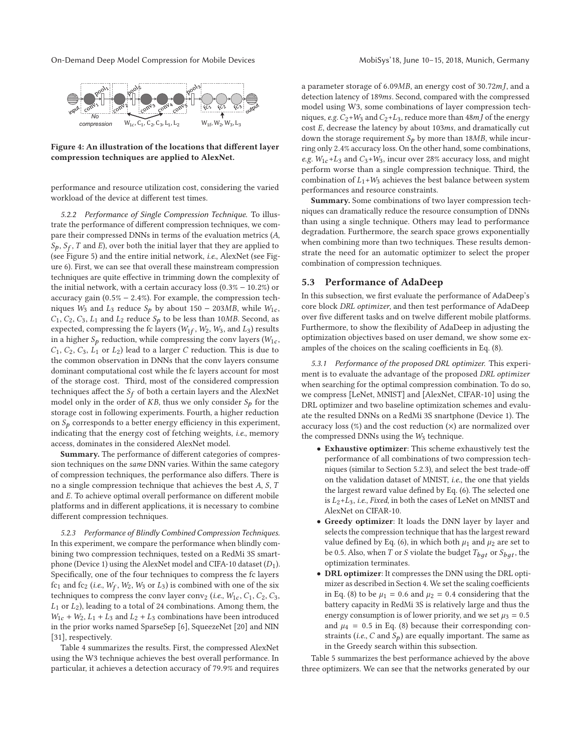On-Demand Deep Model Compression for Mobile Devices MobiSys'18, June 10-15, 2018, Munich, Germany





performance and resource utilization cost, considering the varied workload of the device at different test times.

5.2.2 Performance of Single Compression Technique. To illustrate the performance of different compression techniques, we compare their compressed DNNs in terms of the evaluation metrics (A,  $S_p$ ,  $S_f$ , T and E), over both the initial layer that they are applied to (see Figure 5) and the entire initial network, i.e., AlexNet (see Figure 6). First, we can see that overall these mainstream compression techniques are quite effective in trimming down the complexity of the initial network, with a certain accuracy loss (0.3% − 10.2%) or accuracy gain  $(0.5\% - 2.4\%)$ . For example, the compression techniques  $W_3$  and  $L_3$  reduce  $S_p$  by about 150 – 203MB, while  $W_{1c}$ ,  $C_1$ ,  $C_2$ ,  $C_3$ ,  $L_1$  and  $L_2$  reduce  $S_p$  to be less than 10*MB*. Second, as expected, compressing the fc layers ( $W_{1f}$ ,  $W_2$ ,  $W_3$ , and  $L_3$ ) results in a higher  $S_p$  reduction, while compressing the conv layers ( $W_{1c}$ ,  $C_1$ ,  $C_2$ ,  $C_3$ ,  $L_1$  or  $L_2$ ) lead to a larger C reduction. This is due to the common observation in DNNs that the conv layers consume dominant computational cost while the fc layers account for most of the storage cost. Third, most of the considered compression techniques affect the  $S_f$  of both a certain layers and the AlexNet model only in the order of  $KB$ , thus we only consider  $S_p$  for the storage cost in following experiments. Fourth, a higher reduction on  $S_p$  corresponds to a better energy efficiency in this experiment, indicating that the energy cost of fetching weights, i.e., memory access, dominates in the considered AlexNet model.

**Summary.** The performance of different categories of compression techniques on the same DNN varies. Within the same category of compression techniques, the performance also differs. There is no a single compression technique that achieves the best A, S, T and E. To achieve optimal overall performance on different mobile platforms and in different applications, it is necessary to combine different compression techniques.

5.2.3 Performance of Blindly Combined Compression Techniques. In this experiment, we compare the performance when blindly combining two compression techniques, tested on a RedMi 3S smartphone (Device 1) using the AlexNet model and CIFA-10 dataset  $(D_1)$ . Specifically, one of the four techniques to compress the fc layers fc<sub>1</sub> and fc<sub>2</sub> (i.e.,  $W_f$ ,  $W_2$ ,  $W_3$  or  $L_3$ ) is combined with one of the six techniques to compress the conv layer conv<sub>2</sub> (i.e.,  $W_{1c}$ ,  $C_1$ ,  $C_2$ ,  $C_3$ ,  $L_1$  or  $L_2$ ), leading to a total of 24 combinations. Among them, the  $W_{1c}$  +  $W_2$ ,  $L_1$  +  $L_3$  and  $L_2$  +  $L_3$  combinations have been introduced in the prior works named SparseSep [6], SqueezeNet [20] and NIN [31], respectively.

Table 4 summarizes the results. First, the compressed AlexNet using the W3 technique achieves the best overall performance. In particular, it achieves a detection accuracy of 79.9% and requires

a parameter storage of 6.09MB, an energy cost of 30.72mJ, and a detection latency of 189ms. Second, compared with the compressed model using W3, some combinations of layer compression techniques, e.g.  $C_2+W_3$  and  $C_2+L_3$ , reduce more than 48m *J* of the energy cost E, decrease the latency by about 103ms, and dramatically cut down the storage requirement  $S_p$  by more than 18MB, while incurring only 2.4% accuracy loss. On the other hand, some combinations, e.g.  $W_{1c}$ +L<sub>3</sub> and C<sub>3</sub>+W<sub>3</sub>, incur over 28% accuracy loss, and might perform worse than a single compression technique. Third, the combination of  $L_1+W_3$  achieves the best balance between system performances and resource constraints.

**Summary.** Some combinations of two layer compression techniques can dramatically reduce the resource consumption of DNNs than using a single technique. Others may lead to performance degradation. Furthermore, the search space grows exponentially when combining more than two techniques. These results demonstrate the need for an automatic optimizer to select the proper combination of compression techniques.

#### **5.3 Performance of AdaDeep**

In this subsection, we first evaluate the performance of AdaDeep's core block DRL optimizer, and then test performance of AdaDeep over five different tasks and on twelve different mobile platforms. Furthermore, to show the flexibility of AdaDeep in adjusting the optimization objectives based on user demand, we show some examples of the choices on the scaling coefficients in Eq. (8).

5.3.1 Performance of the proposed DRL optimizer. This experiment is to evaluate the advantage of the proposed DRL optimizer when searching for the optimal compression combination. To do so, we compress [LeNet, MNIST] and [AlexNet, CIFAR-10] using the DRL optimizer and two baseline optimization schemes and evaluate the resulted DNNs on a RedMi 3S snartphone (Device 1). The accuracy loss  $(\%)$  and the cost reduction  $(\times)$  are normalized over the compressed DNNs using the  $W_3$  technique.

- **Exhaustive optimizer**: This scheme exhaustively test the performance of all combinations of two compression techniques (similar to Section 5.2.3), and select the best trade-off on the validation dataset of MNIST, i.e., the one that yields the largest reward value defined by Eq. (6). The selected one is  $L_2+L_3$ , i.e., Fixed, in both the cases of LeNet on MNIST and AlexNet on CIFAR-10.
- **Greedy optimizer**: It loads the DNN layer by layer and selects the compression technique that has the largest reward value defined by Eq. (6), in which both  $\mu_1$  and  $\mu_2$  are set to be 0.5. Also, when T or S violate the budget  $T_{bqt}$  or  $S_{bqt}$ , the optimization terminates.
- **DRL optimizer**: It compresses the DNN using the DRL optimizer as described in Section 4. We set the scaling coefficients in Eq. (8) to be  $\mu_1 = 0.6$  and  $\mu_2 = 0.4$  considering that the battery capacity in RedMi 3S is relatively large and thus the energy consumption is of lower priority, and we set  $\mu_3 = 0.5$ and  $\mu_4$  = 0.5 in Eq. (8) because their corresponding constraints (*i.e.*, C and  $S_p$ ) are equally important. The same as in the Greedy search within this subsection.

Table 5 summarizes the best performance achieved by the above three optimizers. We can see that the networks generated by our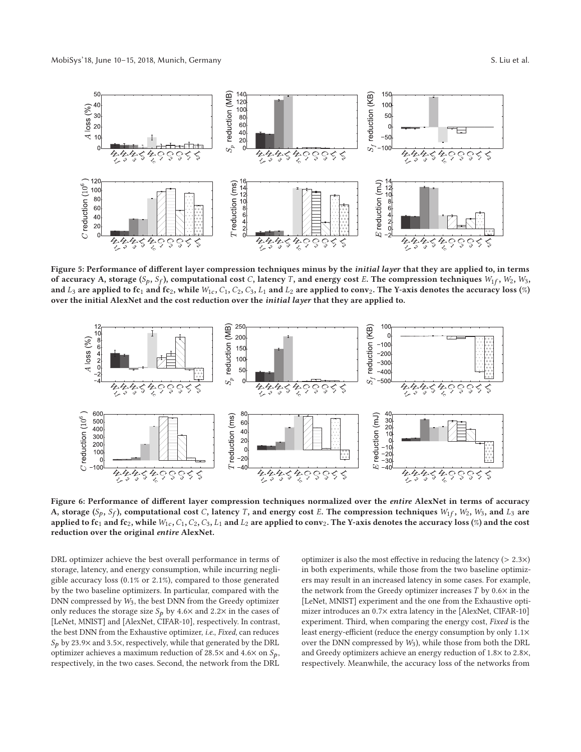

**Figure 5: Performance of different layer compression techniques minus by the** *initial layer* **that they are applied to, in terms of accuracy A, storage (** $S_p$ **,**  $S_f$ **), computational cost C, latency T, and energy cost E. The compression techniques**  $W_1f$ **,**  $W_2$ **,**  $W_3$ **,** and  $L_3$  are applied to fc<sub>1</sub> and fc<sub>2</sub>, while  $W_{1c}$ ,  $C_1$ ,  $C_2$ ,  $C_3$ ,  $L_1$  and  $L_2$  are applied to conv<sub>2</sub>. The Y-axis denotes the accuracy loss (%) **over the initial AlexNet and the cost reduction over the** *initial layer* **that they are applied to.**



**Figure 6: Performance of different layer compression techniques normalized over the** *entire* **AlexNet in terms of accuracy** A, storage  $(S_p, S_f)$ , computational cost C, latency T, and energy cost E. The compression techniques  $W_1f, W_2, W_3$ , and  $L_3$  are **applied to fc**<sup>1</sup> **and fc**2**, while**W1<sup>c</sup> **,** C1**,** C2**,** C3**,** L<sup>1</sup> **and** L<sup>2</sup> **are applied to conv**2**. The Y-axis denotes the accuracy loss (**%**) and the cost reduction over the original** *entire* **AlexNet.**

DRL optimizer achieve the best overall performance in terms of storage, latency, and energy consumption, while incurring negligible accuracy loss (0.1% or 2.1%), compared to those generated by the two baseline optimizers. In particular, compared with the DNN compressed by W3, the best DNN from the Greedy optimizer only reduces the storage size  $S_p$  by 4.6× and 2.2× in the cases of [LeNet, MNIST] and [AlexNet, CIFAR-10], respectively. In contrast, the best DNN from the Exhaustive optimizer, i.e., Fixed, can reduces  $S_p$  by 23.9× and 3.5×, respectively, while that generated by the DRL optimizer achieves a maximum reduction of 28.5 $\times$  and 4.6 $\times$  on  $S_p$ , respectively, in the two cases. Second, the network from the DRL optimizer is also the most effective in reducing the latency  $(> 2.3 \times)$ in both experiments, while those from the two baseline optimizers may result in an increased latency in some cases. For example, the network from the Greedy optimizer increases  $T$  by  $0.6 \times$  in the [LeNet, MNIST] experiment and the one from the Exhaustive optimizer introduces an 0.7× extra latency in the [AlexNet, CIFAR-10] experiment. Third, when comparing the energy cost, Fixed is the least energy-efficient (reduce the energy consumption by only 1.1× over the DNN compressed by  $W_3$ ), while those from both the DRL and Greedy optimizers achieve an energy reduction of 1.8× to 2.8×, respectively. Meanwhile, the accuracy loss of the networks from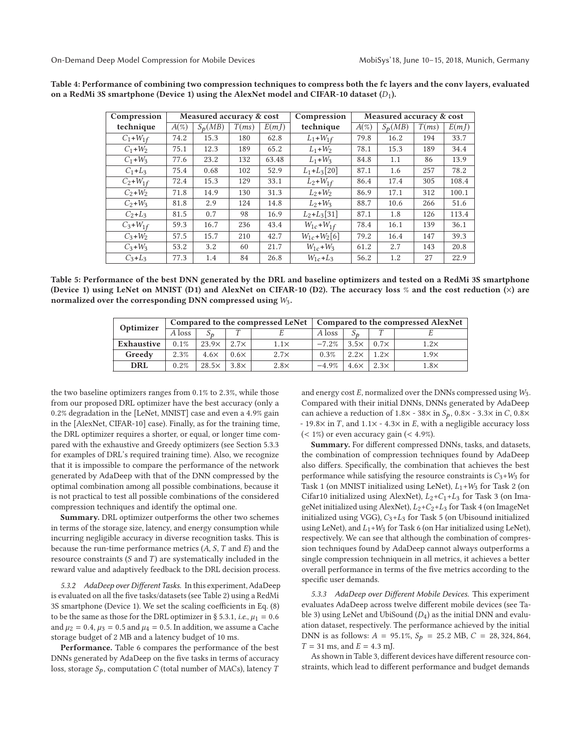| Compression    |         | Measured accuracy & cost |       |       | Compression                        | Measured accuracy & cost |           |       |       |  |
|----------------|---------|--------------------------|-------|-------|------------------------------------|--------------------------|-----------|-------|-------|--|
| technique      | $A(\%)$ | $S_p(MB)$                | T(ms) | E(mI) | technique                          | $A(\%)$                  | $S_p(MB)$ | T(ms) | E(mI) |  |
| $C_1+W_{1f}$   | 74.2    | 15.3                     | 180   | 62.8  | $L_1+W_{1f}$                       | 79.8                     | 16.2      | 194   | 33.7  |  |
| $C_1 + W_2$    | 75.1    | 12.3                     | 189   | 65.2  | $L_1+W_2$                          | 78.1                     | 15.3      | 189   | 34.4  |  |
| $C_1+W_3$      | 77.6    | 23.2                     | 132   | 63.48 | $L_1+W_3$                          | 84.8                     | 1.1       | 86    | 13.9  |  |
| $C_1 + L_3$    | 75.4    | 0.68                     | 102   | 52.9  | $L_1 + L_3[20]$                    | 87.1                     | 1.6       | 257   | 78.2  |  |
| $C_2 + W_{1f}$ | 72.4    | 15.3                     | 129   | 33.1  | $L_2+W_{1f}$                       | 86.4                     | 17.4      | 305   | 108.4 |  |
| $C_2+W_2$      | 71.8    | 14.9                     | 130   | 31.3  | $L_2+W_2$                          | 86.9                     | 17.1      | 312   | 100.1 |  |
| $C_2 + W_3$    | 81.8    | 2.9                      | 124   | 14.8  | $L_2+W_3$                          | 88.7                     | 10.6      | 266   | 51.6  |  |
| $C_2 + L_3$    | 81.5    | 0.7                      | 98    | 16.9  | $L_2 + L_3[31]$                    | 87.1                     | 1.8       | 126   | 113.4 |  |
| $C_3 + W_{1f}$ | 59.3    | 16.7                     | 236   | 43.4  | $W_{1c} + W_{1f}$                  | 78.4                     | 16.1      | 139   | 36.1  |  |
| $C_3+W_2$      | 57.5    | 15.7                     | 210   | 42.7  | $W_{1c}$ + $W_2$ [6]               | 79.2                     | 16.4      | 147   | 39.3  |  |
| $C_3+W_3$      | 53.2    | 3.2                      | 60    | 21.7  | $W_{1c} + W_3$                     | 61.2                     | 2.7       | 143   | 20.8  |  |
| $C_3 + L_3$    | 77.3    | 1.4                      | 84    | 26.8  | $W_1$ <sub>c</sub> +L <sub>3</sub> | 56.2                     | 1.2       | 27    | 22.9  |  |

**Table 4: Performance of combining two compression techniques to compress both the fc layers and the conv layers, evaluated on a RedMi 3S smartphone (Device 1) using the AlexNet model and CIFAR-10 dataset (**D1**).**

**Table 5: Performance of the best DNN generated by the DRL and baseline optimizers and tested on a RedMi 3S smartphone (Device 1) using LeNet on MNIST (D1) and AlexNet on CIFAR-10 (D2). The accuracy loss** % **and the cost reduction (**×**) are normalized over the corresponding DNN compressed using** W3**.**

| Optimizer         |         |              |             | Compared to the compressed LeNet   Compared to the compressed AlexNet |            |                          |             |             |
|-------------------|---------|--------------|-------------|-----------------------------------------------------------------------|------------|--------------------------|-------------|-------------|
|                   | A loss  |              |             |                                                                       | . A loss ' |                          |             |             |
| <b>Exhaustive</b> | $0.1\%$ | $23.9\times$ | $2.7\times$ | $1.1\times$                                                           | $-7.2\%$   | $3.5\times$ 0.7 $\times$ |             | $1.2\times$ |
| Greedy            | 2.3%    | $4.6\times$  | $0.6\times$ | $2.7\times$                                                           | 0.3%       | $2.2 \times$             | $1.2\times$ | 1.9x        |
| <b>DRL</b>        | $0.2\%$ | $28.5\times$ | $3.8\times$ | $2.8\times$                                                           | $-4.9%$    | $4.6\times$              | $2.3\times$ | 1.8×        |

the two baseline optimizers ranges from 0.1% to 2.3%, while those from our proposed DRL optimizer have the best accuracy (only a 0.2% degradation in the [LeNet, MNIST] case and even a 4.9% gain in the [AlexNet, CIFAR-10] case). Finally, as for the training time, the DRL optimizer requires a shorter, or equal, or longer time compared with the exhaustive and Greedy optimizers (see Section 5.3.3 for examples of DRL's required training time). Also, we recognize that it is impossible to compare the performance of the network generated by AdaDeep with that of the DNN compressed by the optimal combination among all possible combinations, because it is not practical to test all possible combinations of the considered compression techniques and identify the optimal one.

**Summary.** DRL optimizer outperforms the other two schemes in terms of the storage size, latency, and energy consumption while incurring negligible accuracy in diverse recognition tasks. This is because the run-time performance metrics  $(A, S, T, A)$  and the resource constraints  $(S \text{ and } T)$  are systematically included in the reward value and adaptively feedback to the DRL decision process.

5.3.2 AdaDeep over Different Tasks. In this experiment, AdaDeep is evaluated on all the five tasks/datasets (see Table 2) using a RedMi 3S smartphone (Device 1). We set the scaling coefficients in Eq. (8) to be the same as those for the DRL optimizer in § 5.3.1, *i.e.*,  $\mu_1 = 0.6$ and  $\mu_2 = 0.4$ ,  $\mu_3 = 0.5$  and  $\mu_4 = 0.5$ . In addition, we assume a Cache storage budget of 2 MB and a latency budget of 10 ms.

**Performance.** Table 6 compares the performance of the best DNNs generated by AdaDeep on the five tasks in terms of accuracy loss, storage  $S_p$ , computation C (total number of MACs), latency T

and energy cost  $E$ , normalized over the DNNs compressed using  $W_3$ . Compared with their initial DNNs, DNNs generated by AdaDeep can achieve a reduction of  $1.8 \times -38 \times$  in  $S_p$ ,  $0.8 \times -3.3 \times$  in C,  $0.8 \times$ - 19.8 $\times$  in T, and 1.1 $\times$  - 4.3 $\times$  in E, with a negligible accuracy loss  $(< 1\%)$  or even accuracy gain  $(< 4.9\%).$ 

**Summary.** For different compressed DNNs, tasks, and datasets, the combination of compression techniques found by AdaDeep also differs. Specifically, the combination that achieves the best performance while satisfying the resource constraints is  $C_3+W_3$  for Task 1 (on MNIST initialized using LeNet),  $L_1+W_3$  for Task 2 (on Cifar10 initialized using AlexNet),  $L_2+C_1+L_3$  for Task 3 (on ImageNet initialized using AlexNet),  $L_2+C_2+L_3$  for Task 4 (on ImageNet initialized using VGG),  $C_3+L_3$  for Task 5 (on Ubisound initialized using LeNet), and  $L_1+W_3$  for Task 6 (on Har initialized using LeNet), respectively. We can see that although the combination of compression techniques found by AdaDeep cannot always outperforms a single compression techniquein in all metrics, it achieves a better overall performance in terms of the five metrics according to the specific user demands.

5.3.3 AdaDeep over Different Mobile Devices. This experiment evaluates AdaDeep across twelve different mobile devices (see Table 3) using LeNet and UbiSound  $(D_4)$  as the initial DNN and evaluation dataset, respectively. The performance achieved by the initial DNN is as follows:  $A = 95.1\%$ ,  $S_p = 25.2$  MB,  $C = 28,324,864$ ,  $T = 31$  ms, and  $E = 4.3$  mJ.

As shown in Table 3, different devices have different resource constraints, which lead to different performance and budget demands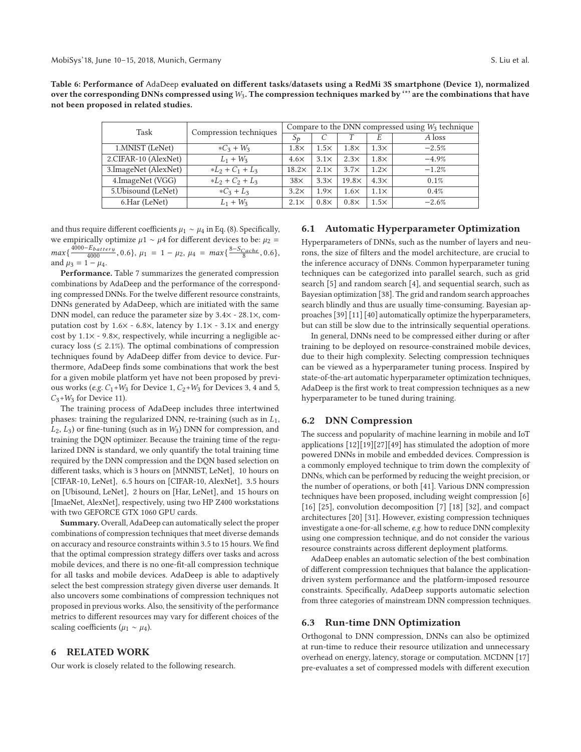**Table 6: Performance of** AdaDeep **evaluated on different tasks/datasets using a RedMi 3S smartphone (Device 1), normalized over the corresponding DNNs compressed using**W3**. The compression techniques marked by '\*' are the combinations that have not been proposed in related studies.**

| Task                  | Compression techniques | Compare to the DNN compressed using $W_3$ technique |             |              |             |         |  |  |
|-----------------------|------------------------|-----------------------------------------------------|-------------|--------------|-------------|---------|--|--|
|                       |                        | $S_{D}$                                             |             |              | E           | A loss  |  |  |
| 1. MNIST (LeNet)      | $*C_3 + W_3$           | $1.8\times$                                         | $1.5\times$ | $1.8\times$  | $1.3\times$ | $-2.5%$ |  |  |
| 2.CIFAR-10 (AlexNet)  | $L_1 + W_3$            | $4.6\times$                                         | $3.1\times$ | $2.3\times$  | $1.8\times$ | $-4.9%$ |  |  |
| 3. ImageNet (AlexNet) | $*L_2 + C_1 + L_3$     | $18.2\times$                                        | $2.1\times$ | $3.7\times$  | $1.2\times$ | $-1.2%$ |  |  |
| 4.ImageNet (VGG)      | $*L_2 + C_2 + L_3$     | $38\times$                                          | 3.3x        | $19.8\times$ | $4.3\times$ | 0.1%    |  |  |
| 5. Ubisound (LeNet)   | $*C_3 + L_3$           | $3.2\times$                                         | $1.9\times$ | $1.6\times$  | $1.1\times$ | 0.4%    |  |  |
| 6.Har (LeNet)         | $L_1 + W_3$            | $2.1\times$                                         | $0.8\times$ | $0.8\times$  | $1.5\times$ | $-2.6%$ |  |  |

and thus require different coefficients  $\mu_1 \sim \mu_4$  in Eq. (8). Specifically, we empirically optimize  $\mu$ 1 ~  $\mu$ 4 for different devices to be:  $\mu$ <sub>2</sub> =  $max\{\frac{4000-E_{battery}}{4000}, 0.6\}, \mu_1 = 1 - \mu_2, \mu_4 = max\{\frac{8-S_{Cachee}}{8}, 0.6\},\$ and  $\mu_3 = 1 - \mu_4$ .

**Performance.** Table 7 summarizes the generated compression combinations by AdaDeep and the performance of the corresponding compressed DNNs. For the twelve different resource constraints, DNNs generated by AdaDeep, which are initiated with the same DNN model, can reduce the parameter size by 3.4× - 28.1×, computation cost by  $1.6\times$  - 6.8 $\times$ , latency by  $1.1\times$  - 3.1 $\times$  and energy cost by  $1.1 \times -9.8 \times$ , respectively, while incurring a negligible accuracy loss ( $\leq$  2.1%). The optimal combinations of compression techniques found by AdaDeep differ from device to device. Furthermore, AdaDeep finds some combinations that work the best for a given mobile platform yet have not been proposed by previous works (e.g.  $C_1+W_3$  for Device 1,  $C_2+W_3$  for Devices 3, 4 and 5,  $C_3+W_3$  for Device 11).

The training process of AdaDeep includes three intertwined phases: training the regularized DNN, re-training (such as in  $L_1$ ,  $L_2$ ,  $L_3$ ) or fine-tuning (such as in  $W_3$ ) DNN for compression, and training the DQN optimizer. Because the training time of the regularized DNN is standard, we only quantify the total training time required by the DNN compression and the DQN based selection on different tasks, which is 3 hours on [MNNIST, LeNet], 10 hours on [CIFAR-10, LeNet], 6.5 hours on [CIFAR-10, AlexNet], 3.5 hours on [Ubisound, LeNet], 2 hours on [Har, LeNet], and 15 hours on [ImaeNet, AlexNet], respectively, using two HP Z400 workstations with two GEFORCE GTX 1060 GPU cards.

**Summary.** Overall, AdaDeep can automatically select the proper combinations of compression techniques that meet diverse demands on accuracy and resource constraints within 3.5 to 15 hours. We find that the optimal compression strategy differs over tasks and across mobile devices, and there is no one-fit-all compression technique for all tasks and mobile devices. AdaDeep is able to adaptively select the best compression strategy given diverse user demands. It also uncovers some combinations of compression techniques not proposed in previous works. Also, the sensitivity of the performance metrics to different resources may vary for different choices of the scaling coefficients ( $\mu_1 \sim \mu_4$ ).

# **6 RELATED WORK**

Our work is closely related to the following research.

# **6.1 Automatic Hyperparameter Optimization**

Hyperparameters of DNNs, such as the number of layers and neurons, the size of filters and the model architecture, are crucial to the inference accuracy of DNNs. Common hyperparameter tuning techniques can be categorized into parallel search, such as grid search [5] and random search [4], and sequential search, such as Bayesian optimization [38]. The grid and random search approaches search blindly and thus are usually time-consuming. Bayesian approaches [39] [11] [40] automatically optimize the hyperparameters, but can still be slow due to the intrinsically sequential operations.

In general, DNNs need to be compressed either during or after training to be deployed on resource-constrained mobile devices, due to their high complexity. Selecting compression techniques can be viewed as a hyperparameter tuning process. Inspired by state-of-the-art automatic hyperparameter optimization techniques, AdaDeep is the first work to treat compression techniques as a new hyperparameter to be tuned during training.

#### **6.2 DNN Compression**

The success and popularity of machine learning in mobile and IoT applications [12][19][27][49] has stimulated the adoption of more powered DNNs in mobile and embedded devices. Compression is a commonly employed technique to trim down the complexity of DNNs, which can be performed by reducing the weight precision, or the number of operations, or both [41]. Various DNN compression techniques have been proposed, including weight compression [6] [16] [25], convolution decomposition [7] [18] [32], and compact architectures [20] [31]. However, existing compression techniques investigate a one-for-all scheme, e.g. how to reduce DNN complexity using one compression technique, and do not consider the various resource constraints across different deployment platforms.

AdaDeep enables an automatic selection of the best combination of different compression techniques that balance the applicationdriven system performance and the platform-imposed resource constraints. Specifically, AdaDeep supports automatic selection from three categories of mainstream DNN compression techniques.

### **6.3 Run-time DNN Optimization**

Orthogonal to DNN compression, DNNs can also be optimized at run-time to reduce their resource utilization and unnecessary overhead on energy, latency, storage or computation. MCDNN [17] pre-evaluates a set of compressed models with different execution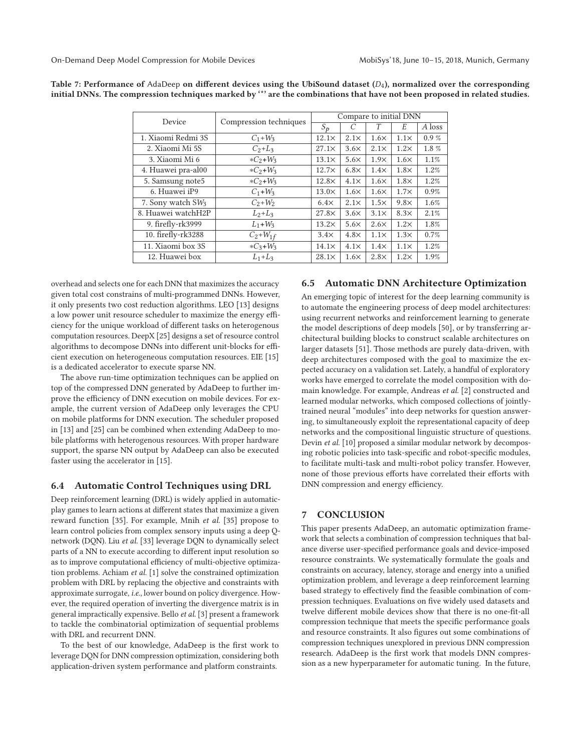| Device                        | Compression techniques | Compare to initial DNN |             |             |             |          |  |  |
|-------------------------------|------------------------|------------------------|-------------|-------------|-------------|----------|--|--|
|                               |                        | $S_{\boldsymbol{D}}$   | C           | Т           | E           | A loss   |  |  |
| 1. Xiaomi Redmi 3S            | $C_1 + W_3$            | $12.1\times$           | $2.1\times$ | $1.6\times$ | $1.1\times$ | $0.9 \%$ |  |  |
| 2. Xiaomi Mi 5S               | $C_2 + L_3$            | $27.1\times$           | $3.6\times$ | $2.1\times$ | $1.2\times$ | 1.8%     |  |  |
| 3. Xiaomi Mi 6                | $*C_2 + W_3$           | $13.1\times$           | $5.6\times$ | $1.9\times$ | $1.6\times$ | 1.1%     |  |  |
| 4. Huawei pra-al00            | $*C_2 + W_3$           | $12.7\times$           | $6.8\times$ | $1.4\times$ | $1.8\times$ | 1.2%     |  |  |
| 5. Samsung note5              | $*C_2 + W_3$           | $12.8\times$           | $4.1\times$ | $1.6\times$ | $1.8\times$ | 1.2%     |  |  |
| 6. Huawei iP9                 | $C_1 + W_3$            | $13.0\times$           | $1.6\times$ | $1.6\times$ | $1.7\times$ | 0.9%     |  |  |
| 7. Sony watch SW <sub>3</sub> | $C_2+W_2$              | $6.4\times$            | $2.1\times$ | $1.5\times$ | $9.8\times$ | 1.6%     |  |  |
| 8. Huawei watchH2P            | $L_2+L_3$              | $27.8\times$           | $3.6\times$ | $3.1\times$ | $8.3\times$ | 2.1%     |  |  |
| 9. firefly-rk3999             | $L_1 + W_3$            | $13.2\times$           | $5.6\times$ | $2.6\times$ | $1.2\times$ | 1.8%     |  |  |
| 10. firefly-rk3288            | $C_2 + W_{1f}$         | $3.4\times$            | $4.8\times$ | $1.1\times$ | $1.3\times$ | 0.7%     |  |  |
| 11. Xiaomi box 3S             | $*C_3 + W_3$           | $14.1\times$           | $4.1\times$ | $1.4\times$ | $1.1\times$ | 1.2%     |  |  |
| 12. Huawei box                | $L_1+L_3$              | $28.1\times$           | $1.6\times$ | $2.8\times$ | $1.2\times$ | 1.9%     |  |  |

**Table 7: Performance of** AdaDeep **on different devices using the UbiSound dataset (**D4**), normalized over the corresponding initial DNNs. The compression techniques marked by '\*' are the combinations that have not been proposed in related studies.**

overhead and selects one for each DNN that maximizes the accuracy given total cost constrains of multi-programmed DNNs. However, it only presents two cost reduction algorithms. LEO [13] designs a low power unit resource scheduler to maximize the energy efficiency for the unique workload of different tasks on heterogenous computation resources. DeepX [25] designs a set of resource control algorithms to decompose DNNs into different unit-blocks for efficient execution on heterogeneous computation resources. EIE [15] is a dedicated accelerator to execute sparse NN.

The above run-time optimization techniques can be applied on top of the compressed DNN generated by AdaDeep to further improve the efficiency of DNN execution on mobile devices. For example, the current version of AdaDeep only leverages the CPU on mobile platforms for DNN execution. The scheduler proposed in [13] and [25] can be combined when extending AdaDeep to mobile platforms with heterogenous resources. With proper hardware support, the sparse NN output by AdaDeep can also be executed faster using the accelerator in [15].

## **6.4 Automatic Control Techniques using DRL**

Deep reinforcement learning (DRL) is widely applied in automaticplay games to learn actions at different states that maximize a given reward function [35]. For example, Mnih et al. [35] propose to learn control policies from complex sensory inputs using a deep Qnetwork (DQN). Liu et al. [33] leverage DQN to dynamically select parts of a NN to execute according to different input resolution so as to improve computational efficiency of multi-objective optimization problems. Achiam et al. [1] solve the constrained optimization problem with DRL by replacing the objective and constraints with approximate surrogate, i.e., lower bound on policy divergence. However, the required operation of inverting the divergence matrix is in general impractically expensive. Bello et al. [3] present a framework to tackle the combinatorial optimization of sequential problems with DRL and recurrent DNN.

To the best of our knowledge, AdaDeep is the first work to leverage DQN for DNN compression optimization, considering both application-driven system performance and platform constraints.

# **6.5 Automatic DNN Architecture Optimization**

An emerging topic of interest for the deep learning community is to automate the engineering process of deep model architectures: using recurrent networks and reinforcement learning to generate the model descriptions of deep models [50], or by transferring architectural building blocks to construct scalable architectures on larger datasets [51]. Those methods are purely data-driven, with deep architectures composed with the goal to maximize the expected accuracy on a validation set. Lately, a handful of exploratory works have emerged to correlate the model composition with domain knowledge. For example, Andreas et al. [2] constructed and learned modular networks, which composed collections of jointlytrained neural "modules" into deep networks for question answering, to simultaneously exploit the representational capacity of deep networks and the compositional linguistic structure of questions. Devin et al. [10] proposed a similar modular network by decomposing robotic policies into task-specific and robot-specific modules, to facilitate multi-task and multi-robot policy transfer. However, none of those previous efforts have correlated their efforts with DNN compression and energy efficiency.

## **7 CONCLUSION**

This paper presents AdaDeep, an automatic optimization framework that selects a combination of compression techniques that balance diverse user-specified performance goals and device-imposed resource constraints. We systematically formulate the goals and constraints on accuracy, latency, storage and energy into a unified optimization problem, and leverage a deep reinforcement learning based strategy to effectively find the feasible combination of compression techniques. Evaluations on five widely used datasets and twelve different mobile devices show that there is no one-fit-all compression technique that meets the specific performance goals and resource constraints. It also figures out some combinations of compression techniques unexplored in previous DNN compression research. AdaDeep is the first work that models DNN compression as a new hyperparameter for automatic tuning. In the future,